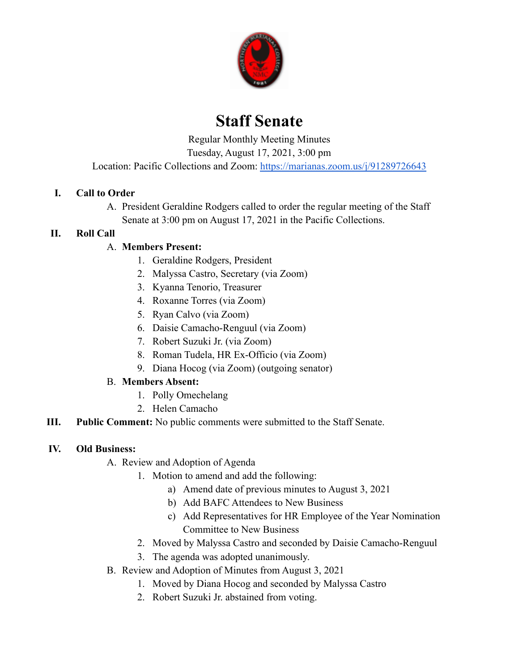

# **Staff Senate**

Regular Monthly Meeting Minutes

Tuesday, August 17, 2021, 3:00 pm

Location: Pacific Collections and Zoom: <https://marianas.zoom.us/j/91289726643>

#### **I. Call to Order**

A. President Geraldine Rodgers called to order the regular meeting of the Staff Senate at 3:00 pm on August 17, 2021 in the Pacific Collections.

#### **II. Roll Call**

### A. **Members Present:**

- 1. Geraldine Rodgers, President
- 2. Malyssa Castro, Secretary (via Zoom)
- 3. Kyanna Tenorio, Treasurer
- 4. Roxanne Torres (via Zoom)
- 5. Ryan Calvo (via Zoom)
- 6. Daisie Camacho-Renguul (via Zoom)
- 7. Robert Suzuki Jr. (via Zoom)
- 8. Roman Tudela, HR Ex-Officio (via Zoom)
- 9. Diana Hocog (via Zoom) (outgoing senator)

### B. **Members Absent:**

- 1. Polly Omechelang
- 2. Helen Camacho
- **III. Public Comment:** No public comments were submitted to the Staff Senate.

#### **IV. Old Business:**

- A. Review and Adoption of Agenda
	- 1. Motion to amend and add the following:
		- a) Amend date of previous minutes to August 3, 2021
		- b) Add BAFC Attendees to New Business
		- c) Add Representatives for HR Employee of the Year Nomination Committee to New Business
	- 2. Moved by Malyssa Castro and seconded by Daisie Camacho-Renguul
	- 3. The agenda was adopted unanimously.
- B. Review and Adoption of Minutes from August 3, 2021
	- 1. Moved by Diana Hocog and seconded by Malyssa Castro
	- 2. Robert Suzuki Jr. abstained from voting.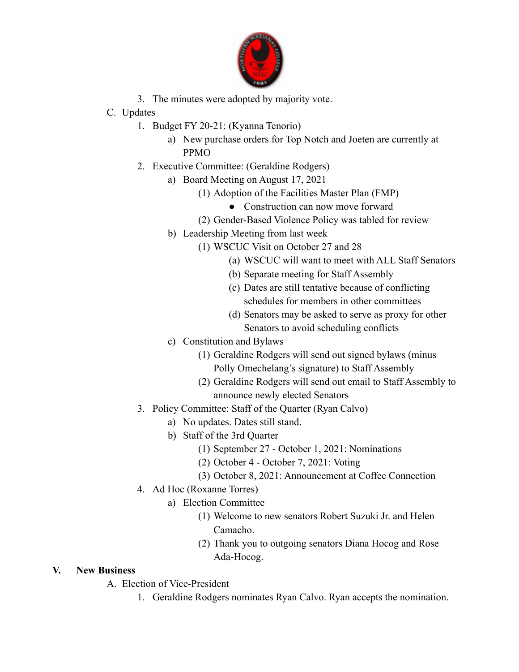

- 3. The minutes were adopted by majority vote.
- C. Updates
	- 1. Budget FY 20-21: (Kyanna Tenorio)
		- a) New purchase orders for Top Notch and Joeten are currently at PPMO
	- 2. Executive Committee: (Geraldine Rodgers)
		- a) Board Meeting on August 17, 2021
			- (1) Adoption of the Facilities Master Plan (FMP)
				- Construction can now move forward
			- (2) Gender-Based Violence Policy was tabled for review
			- b) Leadership Meeting from last week
				- (1) WSCUC Visit on October 27 and 28
					- (a) WSCUC will want to meet with ALL Staff Senators
					- (b) Separate meeting for Staff Assembly
					- (c) Dates are still tentative because of conflicting schedules for members in other committees
					- (d) Senators may be asked to serve as proxy for other Senators to avoid scheduling conflicts
			- c) Constitution and Bylaws
				- (1) Geraldine Rodgers will send out signed bylaws (minus Polly Omechelang's signature) to Staff Assembly
				- (2) Geraldine Rodgers will send out email to Staff Assembly to announce newly elected Senators
	- 3. Policy Committee: Staff of the Quarter (Ryan Calvo)
		- a) No updates. Dates still stand.
		- b) Staff of the 3rd Quarter
			- (1) September 27 October 1, 2021: Nominations
			- (2) October 4 October 7, 2021: Voting
			- (3) October 8, 2021: Announcement at Coffee Connection
	- 4. Ad Hoc (Roxanne Torres)
		- a) Election Committee
			- (1) Welcome to new senators Robert Suzuki Jr. and Helen Camacho.
			- (2) Thank you to outgoing senators Diana Hocog and Rose Ada-Hocog.

## **V. New Business**

- A. Election of Vice-President
	- 1. Geraldine Rodgers nominates Ryan Calvo. Ryan accepts the nomination.